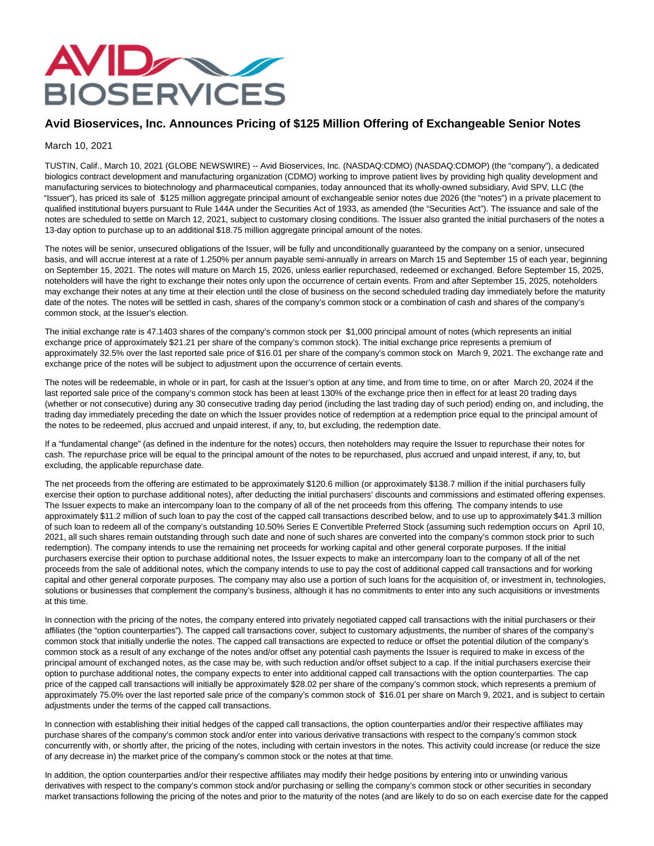

## **Avid Bioservices, Inc. Announces Pricing of \$125 Million Offering of Exchangeable Senior Notes**

## March 10, 2021

TUSTIN, Calif., March 10, 2021 (GLOBE NEWSWIRE) -- Avid Bioservices, Inc. (NASDAQ:CDMO) (NASDAQ:CDMOP) (the "company"), a dedicated biologics contract development and manufacturing organization (CDMO) working to improve patient lives by providing high quality development and manufacturing services to biotechnology and pharmaceutical companies, today announced that its wholly-owned subsidiary, Avid SPV, LLC (the "Issuer"), has priced its sale of \$125 million aggregate principal amount of exchangeable senior notes due 2026 (the "notes") in a private placement to qualified institutional buyers pursuant to Rule 144A under the Securities Act of 1933, as amended (the "Securities Act"). The issuance and sale of the notes are scheduled to settle on March 12, 2021, subject to customary closing conditions. The Issuer also granted the initial purchasers of the notes a 13-day option to purchase up to an additional \$18.75 million aggregate principal amount of the notes.

The notes will be senior, unsecured obligations of the Issuer, will be fully and unconditionally guaranteed by the company on a senior, unsecured basis, and will accrue interest at a rate of 1.250% per annum payable semi-annually in arrears on March 15 and September 15 of each year, beginning on September 15, 2021. The notes will mature on March 15, 2026, unless earlier repurchased, redeemed or exchanged. Before September 15, 2025, noteholders will have the right to exchange their notes only upon the occurrence of certain events. From and after September 15, 2025, noteholders may exchange their notes at any time at their election until the close of business on the second scheduled trading day immediately before the maturity date of the notes. The notes will be settled in cash, shares of the company's common stock or a combination of cash and shares of the company's common stock, at the Issuer's election.

The initial exchange rate is 47.1403 shares of the company's common stock per \$1,000 principal amount of notes (which represents an initial exchange price of approximately \$21.21 per share of the company's common stock). The initial exchange price represents a premium of approximately 32.5% over the last reported sale price of \$16.01 per share of the company's common stock on March 9, 2021. The exchange rate and exchange price of the notes will be subject to adjustment upon the occurrence of certain events.

The notes will be redeemable, in whole or in part, for cash at the Issuer's option at any time, and from time to time, on or after March 20, 2024 if the last reported sale price of the company's common stock has been at least 130% of the exchange price then in effect for at least 20 trading days (whether or not consecutive) during any 30 consecutive trading day period (including the last trading day of such period) ending on, and including, the trading day immediately preceding the date on which the Issuer provides notice of redemption at a redemption price equal to the principal amount of the notes to be redeemed, plus accrued and unpaid interest, if any, to, but excluding, the redemption date.

If a "fundamental change" (as defined in the indenture for the notes) occurs, then noteholders may require the Issuer to repurchase their notes for cash. The repurchase price will be equal to the principal amount of the notes to be repurchased, plus accrued and unpaid interest, if any, to, but excluding, the applicable repurchase date.

The net proceeds from the offering are estimated to be approximately \$120.6 million (or approximately \$138.7 million if the initial purchasers fully exercise their option to purchase additional notes), after deducting the initial purchasers' discounts and commissions and estimated offering expenses. The Issuer expects to make an intercompany loan to the company of all of the net proceeds from this offering. The company intends to use approximately \$11.2 million of such loan to pay the cost of the capped call transactions described below, and to use up to approximately \$41.3 million of such loan to redeem all of the company's outstanding 10.50% Series E Convertible Preferred Stock (assuming such redemption occurs on April 10, 2021, all such shares remain outstanding through such date and none of such shares are converted into the company's common stock prior to such redemption). The company intends to use the remaining net proceeds for working capital and other general corporate purposes. If the initial purchasers exercise their option to purchase additional notes, the Issuer expects to make an intercompany loan to the company of all of the net proceeds from the sale of additional notes, which the company intends to use to pay the cost of additional capped call transactions and for working capital and other general corporate purposes. The company may also use a portion of such loans for the acquisition of, or investment in, technologies, solutions or businesses that complement the company's business, although it has no commitments to enter into any such acquisitions or investments at this time.

In connection with the pricing of the notes, the company entered into privately negotiated capped call transactions with the initial purchasers or their affiliates (the "option counterparties"). The capped call transactions cover, subject to customary adjustments, the number of shares of the company's common stock that initially underlie the notes. The capped call transactions are expected to reduce or offset the potential dilution of the company's common stock as a result of any exchange of the notes and/or offset any potential cash payments the Issuer is required to make in excess of the principal amount of exchanged notes, as the case may be, with such reduction and/or offset subject to a cap. If the initial purchasers exercise their option to purchase additional notes, the company expects to enter into additional capped call transactions with the option counterparties. The cap price of the capped call transactions will initially be approximately \$28.02 per share of the company's common stock, which represents a premium of approximately 75.0% over the last reported sale price of the company's common stock of \$16.01 per share on March 9, 2021, and is subject to certain adjustments under the terms of the capped call transactions.

In connection with establishing their initial hedges of the capped call transactions, the option counterparties and/or their respective affiliates may purchase shares of the company's common stock and/or enter into various derivative transactions with respect to the company's common stock concurrently with, or shortly after, the pricing of the notes, including with certain investors in the notes. This activity could increase (or reduce the size of any decrease in) the market price of the company's common stock or the notes at that time.

In addition, the option counterparties and/or their respective affiliates may modify their hedge positions by entering into or unwinding various derivatives with respect to the company's common stock and/or purchasing or selling the company's common stock or other securities in secondary market transactions following the pricing of the notes and prior to the maturity of the notes (and are likely to do so on each exercise date for the capped